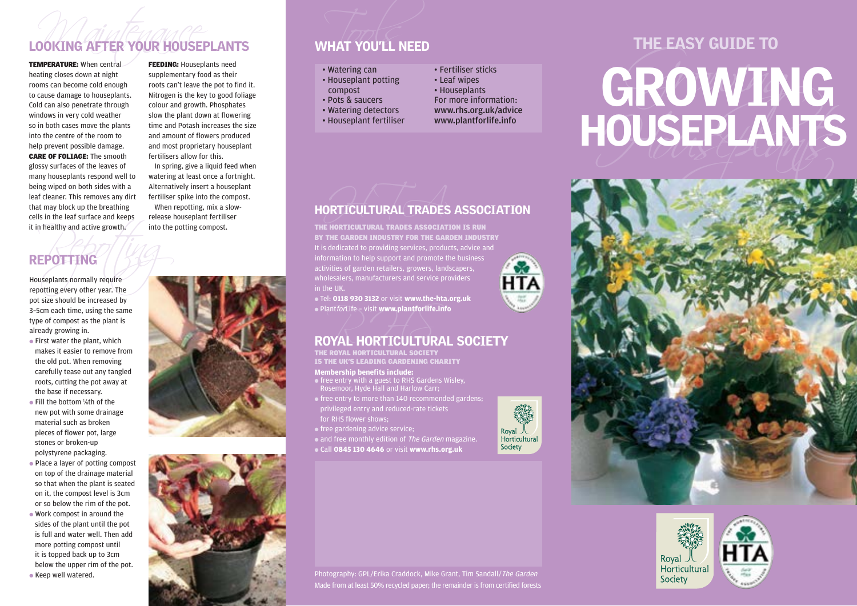## Maintenance Tools TEMPERATURE: When central LOOKING AFTER YOUR HOUSEPLANTS WHAT YOU'LL NEED

heating closes down at night rooms can become cold enough to cause damage to houseplants. Cold can also penetrate through windows in very cold weather so in both cases move the plants into the centre of the room to help prevent possible damage. CARE OF FOLIAGE: The smooth glossy surfaces of the leaves of many houseplants respond well to being wiped on both sides with a leaf cleaner. This removes any dirt that may block up the breathing cells in the leaf surface and keeps it in healthy and active growth.

**FEEDING: Houseplants need** supplementary food as their roots can't leave the pot to find it. Nitrogen is the key to good foliage colour and growth. Phosphates slow the plant down at flowering time and Potash increases the size and amount of flowers produced and most proprietary houseplant fertilisers allow for this.

In spring, give a liquid feed when watering at least once a fortnight. Alternatively insert a houseplant fertiliser spike into the compost. When repotting, mix a slowrelease houseplant fertiliser into the potting compost.

## REPOTTING

The into the set of the set of the set of the set of the set of the set of the set of the set of the set of the set of the set of the set of the set of the set of the set of the set of the set of the set of the set of the Houseplants normally require repotting every other year. The pot size should be increased by 3–5cm each time, using the same type of compost as the plant is already growing in.

- $\bullet$  First water the plant, which makes it easier to remove from the old pot. When removing carefully tease out any tangled roots, cutting the pot away at the base if necessary.
- Fill the bottom 1/8th of the new pot with some drainage material such as broken pieces of flower pot, large stones or broken-up polystyrene packaging.
- Place a layer of potting compost on top of the drainage material so that when the plant is seated on it, the compost level is 3cm or so below the rim of the pot.
- Work compost in around the sides of the plant until the pot is full and water well. Then add more potting compost until it is topped back up to 3cm below the upper rim of the pot. ● Keep well watered.

- Watering can
- Houseplant potting compost
- Pots & saucers
- Watering detectors

in the UK.

- Houseplant fertiliser
- Fertiliser sticks
	-
	-
- www.rhs.org.uk/advice
- 

ORTICULTURAL TRADES











Photography: GPL/Erika Craddock, Mike Grant, Tim Sandall/The Garden Made from at least 50% recycled paper; the remainder is from certified forests

Royal 人<br>Horticultural Society



### wholesalers, manufacturers and service providers ● Tel: **0118 930 3132** or visit **www.the-hta.org.uk** ● PlantforLife – visit **www.plantforlife.info**

HORTICULTURAL TRADES ASSOCIATION

It is dedicated to providing services, products, advice and information to help support and promote the business activities of garden retailers, growers, landscapers,

THE HORTICULTURAL TRADES ASSOCIATION IS RUN BY THE GARDEN INDUSTRY FOR THE GARDEN INDUSTRY

# $\bullet$  Plant*for*Life – visit www.plantforlife.info<br>ROYAL HORTICULTURAL SOCIETY

**Membership benefits include:**  THE ROYAL HORTICULTURAL SOCIETY IS THE UK'S LEADING GARDENING CHARITY

- free entry with a guest to RHS Gardens Wisley, Rosemoor, Hyde Hall and Harlow Carr;
- free entry to more than 140 recommended gardens; privileged entry and reduced-rate tickets for RHS flower shows;
- free gardening advice service;

• and free monthly edition of The Garden magazine.

● Call **0845 130 4646** or visit **www.rhs.org.uk**